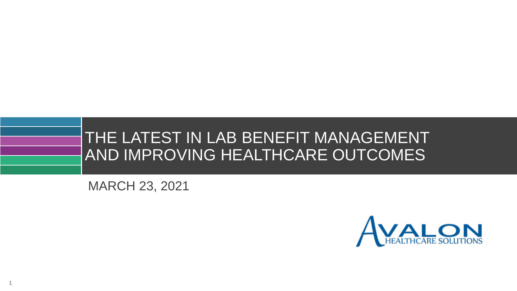

MARCH 23, 2021

**1**

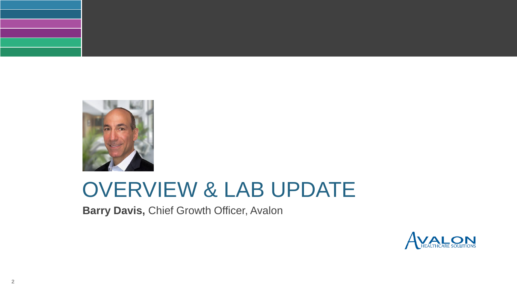

# OVERVIEW & LAB UPDATE

**Barry Davis, Chief Growth Officer, Avalon** 

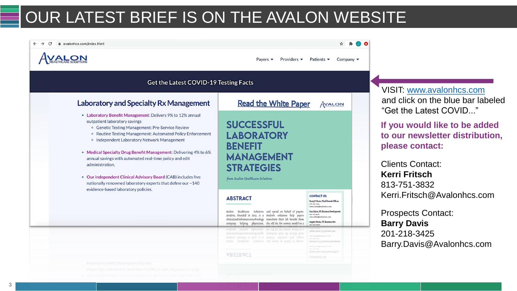# OUR LATEST BRIEF IS ON THE AVALON WEBSITE



VISIT: [www.avalonhcs.com](https://avalonhcs.com/) and click on the blue bar labeled "Get the Latest COVID..."

**If you would like to be added to our newsletter distribution, please contact:**

Clients Contact: **Kerri Fritsch** 813-751-3832 Kerri.Fritsch@Avalonhcs.com

Prospects Contact: **Barry Davis** 201-218-3425 Barry.Davis@Avalonhcs.com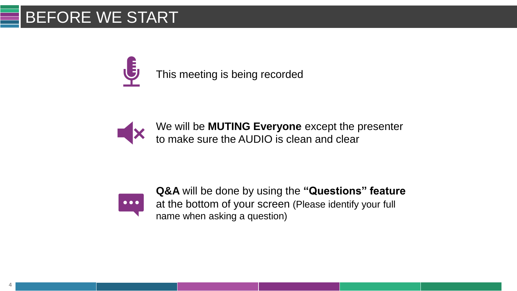# BEFORE WE START

This meeting is being recorded

We will be **MUTING Everyone** except the presenter to make sure the AUDIO is clean and clear



**Q&A** will be done by using the **"Questions" feature**  at the bottom of your screen (Please identify your full name when asking a question)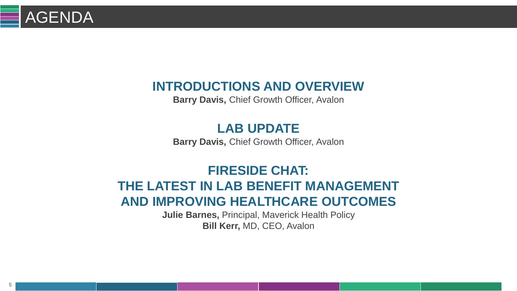# **AGENDA**

### **INTRODUCTIONS AND OVERVIEW**

**Barry Davis, Chief Growth Officer, Avalon** 

### **LAB UPDATE**

**Barry Davis, Chief Growth Officer, Avalon** 

# **FIRESIDE CHAT:**

#### **THE LATEST IN LAB BENEFIT MANAGEMENT AND IMPROVING HEALTHCARE OUTCOMES**

**Julie Barnes,** Principal, Maverick Health Policy **Bill Kerr,** MD, CEO, Avalon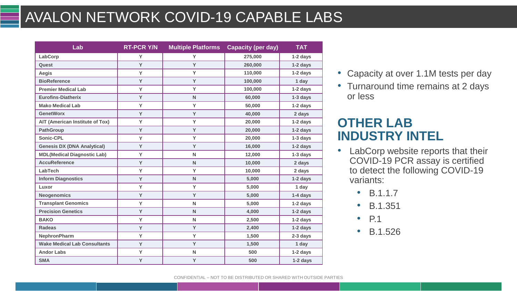# AVALON NETWORK COVID-19 CAPABLE LABS

| Lab                                 | <b>RT-PCR Y/N</b> | <b>Multiple Platforms Capacity (per day)</b> |         | <b>TAT</b> |
|-------------------------------------|-------------------|----------------------------------------------|---------|------------|
| LabCorp                             | Y                 | Y                                            | 275,000 | $1-2$ days |
| Quest                               | Y                 | Y                                            | 260,000 | 1-2 days   |
| Aegis                               | Y                 | Y                                            | 110,000 | $1-2$ days |
| <b>BioReference</b>                 | Y                 | Y                                            | 100,000 | 1 day      |
| <b>Premier Medical Lab</b>          | Y                 | Y                                            | 100,000 | 1-2 days   |
| <b>Eurofins-Diatherix</b>           | Y                 | $\mathsf{N}$                                 | 60,000  | $1-3$ days |
| <b>Mako Medical Lab</b>             | Y                 | Y                                            | 50,000  | 1-2 days   |
| <b>GenetWorx</b>                    | Y                 | Y                                            | 40,000  | 2 days     |
| AIT (American Institute of Tox)     | Y                 | Y                                            | 20,000  | 1-2 days   |
| <b>PathGroup</b>                    | Y                 | Y                                            | 20,000  | 1-2 days   |
| Sonic-CPL                           | Y                 | Y                                            | 20,000  | $1-3$ days |
| <b>Genesis DX (DNA Analytical)</b>  | Y                 | Y                                            | 16,000  | 1-2 days   |
| <b>MDL(Medical Diagnostic Lab)</b>  | Y                 | N                                            | 12,000  | $1-3$ days |
| <b>AccuReference</b>                | Y                 | N                                            | 10,000  | 2 days     |
| <b>LabTech</b>                      | Y                 | Y                                            | 10,000  | 2 days     |
| <b>Inform Diagnostics</b>           | Y                 | $\mathsf{N}$                                 | 5,000   | 1-2 days   |
| Luxor                               | Y                 | Y                                            | 5,000   | 1 day      |
| <b>Neogenomics</b>                  | Y                 | Y                                            | 5,000   | 1-4 days   |
| <b>Transplant Genomics</b>          | Y                 | $\mathsf{N}$                                 | 5,000   | 1-2 days   |
| <b>Precision Genetics</b>           | Y                 | $\mathsf{N}$                                 | 4,000   | 1-2 days   |
| <b>BAKO</b>                         | Y                 | N                                            | 2,500   | 1-2 days   |
| <b>Radeas</b>                       | Y                 | Y                                            | 2,400   | 1-2 days   |
| <b>NephronPharm</b>                 | Y                 | Y                                            | 1,500   | 2-3 days   |
| <b>Wake Medical Lab Consultants</b> | Y                 | Y                                            | 1,500   | 1 day      |
| <b>Andor Labs</b>                   | Y                 | N                                            | 500     | 1-2 days   |
| <b>SMA</b>                          | Y                 | Y                                            | 500     | 1-2 days   |

- Capacity at over 1.1M tests per day
- Turnaround time remains at 2 days or less

#### **OTHER LAB INDUSTRY INTEL**

- LabCorp website reports that their COVID-19 PCR assay is certified to detect the following COVID-19 variants:
	- B.1.1.7
	- B.1.351
	- P.1
	- B.1.526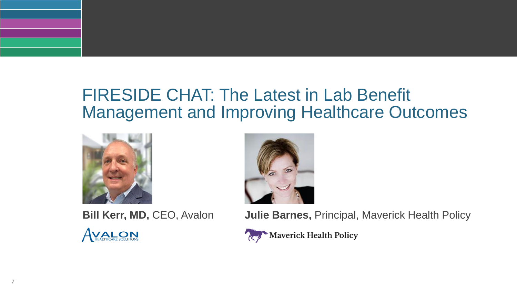# FIRESIDE CHAT: The Latest in Lab Benefit Management and Improving Healthcare Outcomes





**Bill Kerr, MD, CEO, Avalon Julie Barnes, Principal, Maverick Health Policy** 

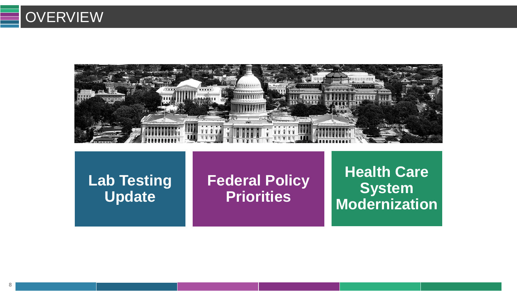

**Lab Testing Update**

**Federal Policy Priorities**

**Health Care System Modernization**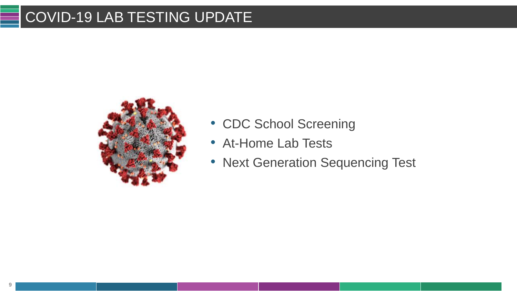## COVID-19 LAB TESTING UPDATE



- CDC School Screening
- At-Home Lab Tests
- Next Generation Sequencing Test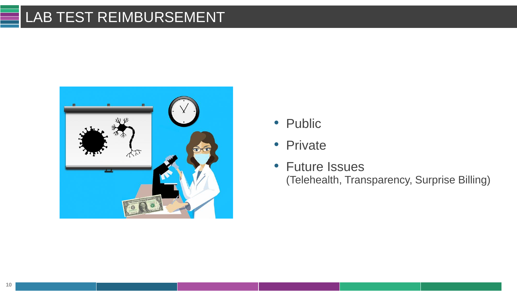### LAB TEST REIMBURSEMENT



- Public
- Private
- Future Issues (Telehealth, Transparency, Surprise Billing)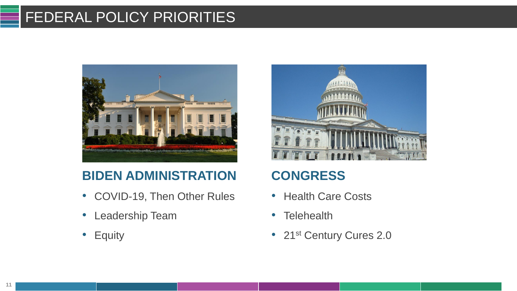## FEDERAL POLICY PRIORITIES



### **BIDEN ADMINISTRATION**

- COVID-19, Then Other Rules
- Leadership Team
- Equity



### **CONGRESS**

- Health Care Costs
- Telehealth
- 21st Century Cures 2.0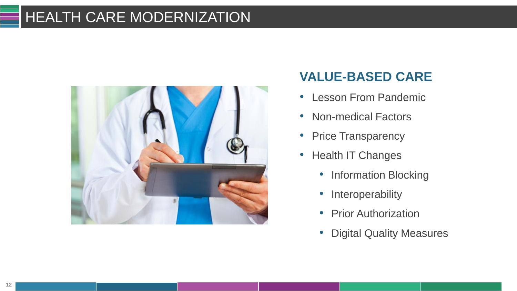### HEALTH CARE MODERNIZATION



### **VALUE-BASED CARE**

- Lesson From Pandemic
- Non-medical Factors
- Price Transparency
- Health IT Changes
	- Information Blocking
	- Interoperability
	- Prior Authorization
	- Digital Quality Measures